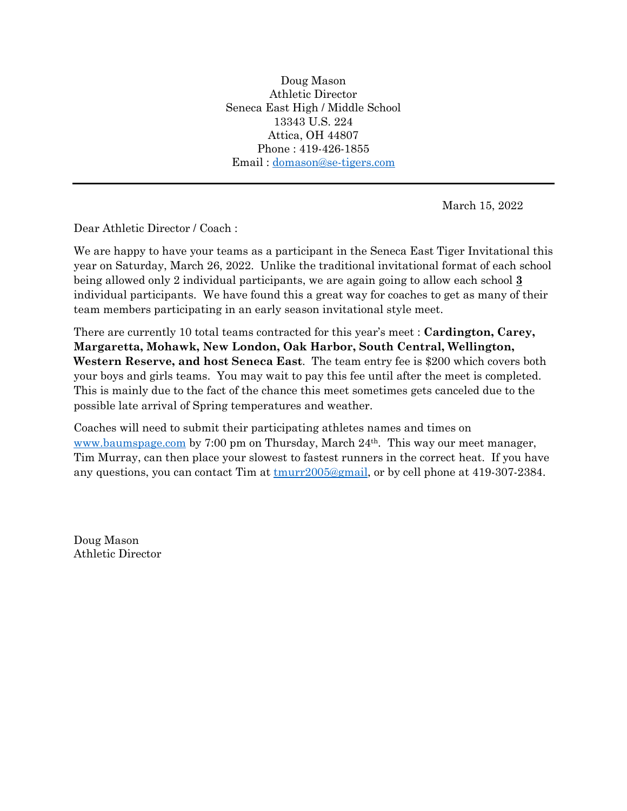Doug Mason Athletic Director Seneca East High / Middle School 13343 U.S. 224 Attica, OH 44807 Phone : 419-426-1855 Email : [domason@se-tigers.com](mailto:domason@se-tigers.com)

March 15, 2022

Dear Athletic Director / Coach :

We are happy to have your teams as a participant in the Seneca East Tiger Invitational this year on Saturday, March 26, 2022. Unlike the traditional invitational format of each school being allowed only 2 individual participants, we are again going to allow each school **3** individual participants. We have found this a great way for coaches to get as many of their team members participating in an early season invitational style meet.

There are currently 10 total teams contracted for this year's meet : **Cardington, Carey, Margaretta, Mohawk, New London, Oak Harbor, South Central, Wellington, Western Reserve, and host Seneca East**. The team entry fee is \$200 which covers both your boys and girls teams. You may wait to pay this fee until after the meet is completed. This is mainly due to the fact of the chance this meet sometimes gets canceled due to the possible late arrival of Spring temperatures and weather.

Coaches will need to submit their participating athletes names and times on [www.baumspage.com](http://www.baumspage.com/) by 7:00 pm on Thursday, March 24th. This way our meet manager, Tim Murray, can then place your slowest to fastest runners in the correct heat. If you have any questions, you can contact Tim at  $t_{\text{murr2005@gmail}}$ , or by cell phone at 419-307-2384.

Doug Mason Athletic Director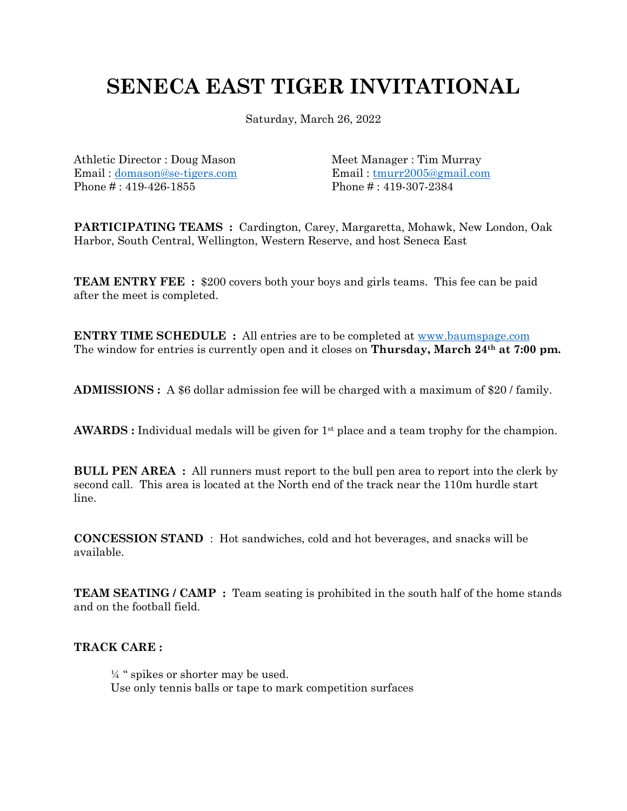## **SENECA EAST TIGER INVITATIONAL**

Saturday, March 26, 2022

Athletic Director : Doug Mason Meet Manager : Tim Murray Email: [domason@se-tigers.com](mailto:domason@se-tigers.com) Email: tmurr2005@gmail.com Phone #: 419-426-1855 Phone #: 419-307-2384

**PARTICIPATING TEAMS :** Cardington, Carey, Margaretta, Mohawk, New London, Oak Harbor, South Central, Wellington, Western Reserve, and host Seneca East

**TEAM ENTRY FEE** : \$200 covers both your boys and girls teams. This fee can be paid after the meet is completed.

**ENTRY TIME SCHEDULE :** All entries are to be completed at [www.baumspage.com](http://www.baumspage.com/) The window for entries is currently open and it closes on **Thursday, March 24th at 7:00 pm.**

**ADMISSIONS :** A \$6 dollar admission fee will be charged with a maximum of \$20 / family.

AWARDS : Individual medals will be given for 1<sup>st</sup> place and a team trophy for the champion.

**BULL PEN AREA :** All runners must report to the bull pen area to report into the clerk by second call. This area is located at the North end of the track near the 110m hurdle start line.

**CONCESSION STAND** : Hot sandwiches, cold and hot beverages, and snacks will be available.

**TEAM SEATING / CAMP :** Team seating is prohibited in the south half of the home stands and on the football field.

#### **TRACK CARE :**

 $\frac{1}{4}$  " spikes or shorter may be used. Use only tennis balls or tape to mark competition surfaces